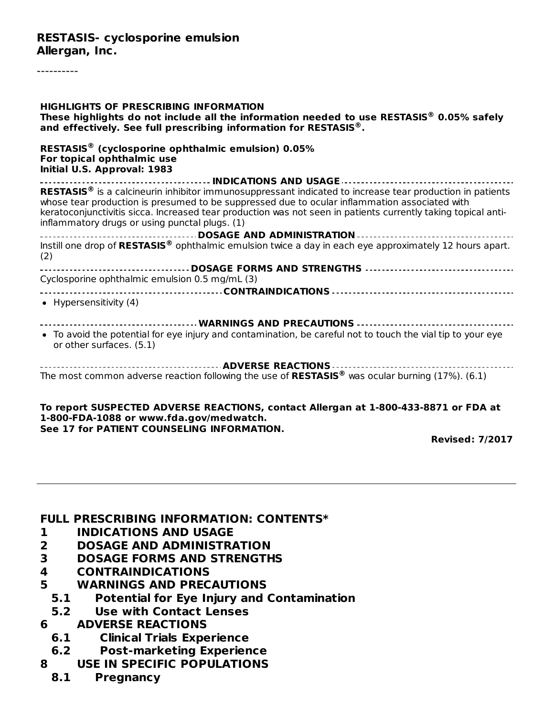#### **RESTASIS- cyclosporine emulsion Allergan, Inc.**

----------

| <b>HIGHLIGHTS OF PRESCRIBING INFORMATION</b><br>These highlights do not include all the information needed to use RESTASIS $^\circledR$ 0.05% safely<br>and effectively. See full prescribing information for RESTASIS <sup>®</sup> .                                                                                                                                                    |
|------------------------------------------------------------------------------------------------------------------------------------------------------------------------------------------------------------------------------------------------------------------------------------------------------------------------------------------------------------------------------------------|
| RESTASIS <sup>®</sup> (cyclosporine ophthalmic emulsion) 0.05%<br>For topical ophthalmic use<br>Initial U.S. Approval: 1983                                                                                                                                                                                                                                                              |
| RESTASIS <sup>®</sup> is a calcineurin inhibitor immunosuppressant indicated to increase tear production in patients<br>whose tear production is presumed to be suppressed due to ocular inflammation associated with<br>keratoconjunctivitis sicca. Increased tear production was not seen in patients currently taking topical anti-<br>inflammatory drugs or using punctal plugs. (1) |
| Instill one drop of RESTASIS <sup>®</sup> ophthalmic emulsion twice a day in each eye approximately 12 hours apart.<br>(2)                                                                                                                                                                                                                                                               |
| ----------- <b>DOSAGE FORMS AND STRENGTHS</b> ----------------------------------<br>Cyclosporine ophthalmic emulsion 0.5 mg/mL (3)                                                                                                                                                                                                                                                       |
| • Hypersensitivity $(4)$                                                                                                                                                                                                                                                                                                                                                                 |
| ----------------------------- WARNINGS AND PRECAUTIONS ---------------------------<br>• To avoid the potential for eye injury and contamination, be careful not to touch the vial tip to your eye<br>or other surfaces. (5.1)                                                                                                                                                            |
| The most common adverse reaction following the use of RESTASIS <sup>®</sup> was ocular burning (17%). (6.1)                                                                                                                                                                                                                                                                              |
| To report SUSPECTED ADVERSE REACTIONS, contact Allergan at 1-800-433-8871 or FDA at                                                                                                                                                                                                                                                                                                      |

**1-800-FDA-1088 or www.fda.gov/medwatch. See 17 for PATIENT COUNSELING INFORMATION.**

**Revised: 7/2017**

#### **FULL PRESCRIBING INFORMATION: CONTENTS\***

- **1 INDICATIONS AND USAGE**
- **2 DOSAGE AND ADMINISTRATION**
- **3 DOSAGE FORMS AND STRENGTHS**
- **4 CONTRAINDICATIONS**
- **5 WARNINGS AND PRECAUTIONS**
	- **5.1 Potential for Eye Injury and Contamination**
	- **5.2 Use with Contact Lenses**
- **6 ADVERSE REACTIONS**
	- **6.1 Clinical Trials Experience**
- **6.2 Post-marketing Experience**
- **8 USE IN SPECIFIC POPULATIONS**
	- **8.1 Pregnancy**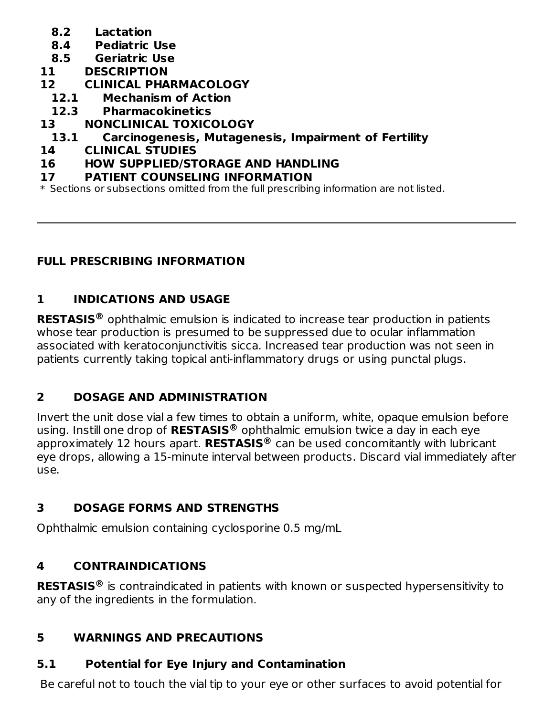- **8.2 Lactation**
- **8.4 Pediatric Use**
- **8.5 Geriatric Use**
- **11 DESCRIPTION**
- **12 CLINICAL PHARMACOLOGY**
	- **12.1 Mechanism of Action**
	- **12.3 Pharmacokinetics**
- **13 NONCLINICAL TOXICOLOGY**
- **13.1 Carcinogenesis, Mutagenesis, Impairment of Fertility**
- **14 CLINICAL STUDIES**

#### **16 HOW SUPPLIED/STORAGE AND HANDLING**

**17 PATIENT COUNSELING INFORMATION**

\* Sections or subsections omitted from the full prescribing information are not listed.

#### **FULL PRESCRIBING INFORMATION**

## **1 INDICATIONS AND USAGE**

**RESTASIS** ophthalmic emulsion is indicated to increase tear production in patients **®** whose tear production is presumed to be suppressed due to ocular inflammation associated with keratoconjunctivitis sicca. Increased tear production was not seen in patients currently taking topical anti-inflammatory drugs or using punctal plugs.

## **2 DOSAGE AND ADMINISTRATION**

Invert the unit dose vial a few times to obtain a uniform, white, opaque emulsion before using. Instill one drop of **RESTASIS** ophthalmic emulsion twice a day in each eye **®** approximately 12 hours apart. **RESTASIS** can be used concomitantly with lubricant **®** eye drops, allowing a 15-minute interval between products. Discard vial immediately after use.

## **3 DOSAGE FORMS AND STRENGTHS**

Ophthalmic emulsion containing cyclosporine 0.5 mg/mL

## **4 CONTRAINDICATIONS**

**RESTASIS** is contraindicated in patients with known or suspected hypersensitivity to **®**any of the ingredients in the formulation.

## **5 WARNINGS AND PRECAUTIONS**

# **5.1 Potential for Eye Injury and Contamination**

Be careful not to touch the vial tip to your eye or other surfaces to avoid potential for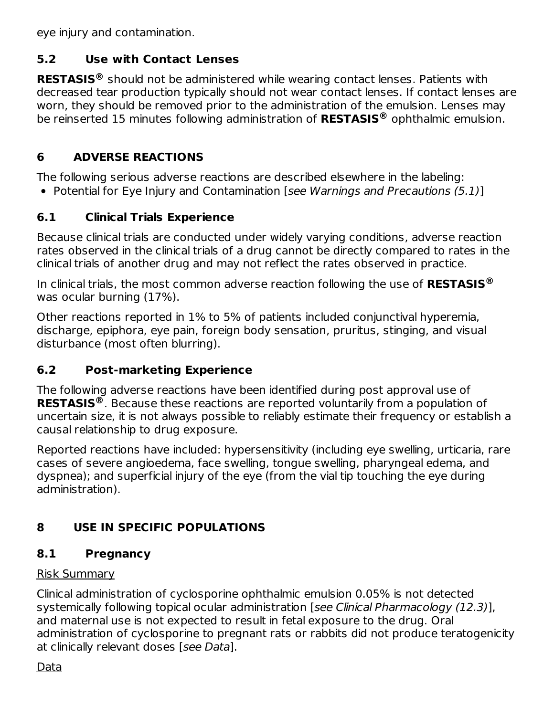eye injury and contamination.

## **5.2 Use with Contact Lenses**

**RESTASIS** should not be administered while wearing contact lenses. Patients with **®** decreased tear production typically should not wear contact lenses. If contact lenses are worn, they should be removed prior to the administration of the emulsion. Lenses may be reinserted 15 minutes following administration of **RESTASIS** ophthalmic emulsion. **®**

## **6 ADVERSE REACTIONS**

The following serious adverse reactions are described elsewhere in the labeling:

• Potential for Eve Injury and Contamination [see Warnings and Precautions (5.1)]

## **6.1 Clinical Trials Experience**

Because clinical trials are conducted under widely varying conditions, adverse reaction rates observed in the clinical trials of a drug cannot be directly compared to rates in the clinical trials of another drug and may not reflect the rates observed in practice.

In clinical trials, the most common adverse reaction following the use of **RESTASIS ®** was ocular burning (17%).

Other reactions reported in 1% to 5% of patients included conjunctival hyperemia, discharge, epiphora, eye pain, foreign body sensation, pruritus, stinging, and visual disturbance (most often blurring).

## **6.2 Post-marketing Experience**

The following adverse reactions have been identified during post approval use of **RESTASIS** . Because these reactions are reported voluntarily from a population of **®**uncertain size, it is not always possible to reliably estimate their frequency or establish a causal relationship to drug exposure.

Reported reactions have included: hypersensitivity (including eye swelling, urticaria, rare cases of severe angioedema, face swelling, tongue swelling, pharyngeal edema, and dyspnea); and superficial injury of the eye (from the vial tip touching the eye during administration).

# **8 USE IN SPECIFIC POPULATIONS**

# **8.1 Pregnancy**

## Risk Summary

Clinical administration of cyclosporine ophthalmic emulsion 0.05% is not detected systemically following topical ocular administration [see Clinical Pharmacology (12.3)], and maternal use is not expected to result in fetal exposure to the drug. Oral administration of cyclosporine to pregnant rats or rabbits did not produce teratogenicity at clinically relevant doses [see Data].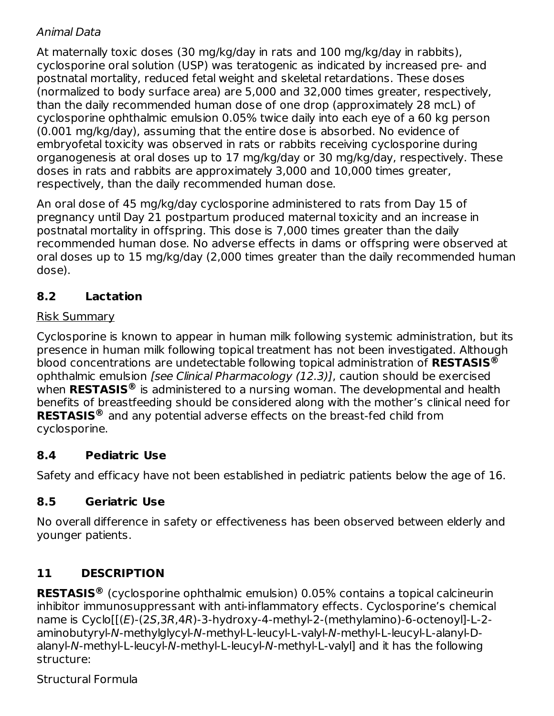#### Animal Data

At maternally toxic doses (30 mg/kg/day in rats and 100 mg/kg/day in rabbits), cyclosporine oral solution (USP) was teratogenic as indicated by increased pre- and postnatal mortality, reduced fetal weight and skeletal retardations. These doses (normalized to body surface area) are 5,000 and 32,000 times greater, respectively, than the daily recommended human dose of one drop (approximately 28 mcL) of cyclosporine ophthalmic emulsion 0.05% twice daily into each eye of a 60 kg person (0.001 mg/kg/day), assuming that the entire dose is absorbed. No evidence of embryofetal toxicity was observed in rats or rabbits receiving cyclosporine during organogenesis at oral doses up to 17 mg/kg/day or 30 mg/kg/day, respectively. These doses in rats and rabbits are approximately 3,000 and 10,000 times greater, respectively, than the daily recommended human dose.

An oral dose of 45 mg/kg/day cyclosporine administered to rats from Day 15 of pregnancy until Day 21 postpartum produced maternal toxicity and an increase in postnatal mortality in offspring. This dose is 7,000 times greater than the daily recommended human dose. No adverse effects in dams or offspring were observed at oral doses up to 15 mg/kg/day (2,000 times greater than the daily recommended human dose).

## **8.2 Lactation**

#### Risk Summary

Cyclosporine is known to appear in human milk following systemic administration, but its presence in human milk following topical treatment has not been investigated. Although blood concentrations are undetectable following topical administration of **RESTASIS ®** ophthalmic emulsion [see Clinical Pharmacology (12.3)], caution should be exercised when **RESTASIS** is administered to a nursing woman. The developmental and health **®** benefits of breastfeeding should be considered along with the mother's clinical need for **RESTASIS** and any potential adverse effects on the breast-fed child from **®** cyclosporine.

## **8.4 Pediatric Use**

Safety and efficacy have not been established in pediatric patients below the age of 16.

## **8.5 Geriatric Use**

No overall difference in safety or effectiveness has been observed between elderly and younger patients.

# **11 DESCRIPTION**

**RESTASIS** (cyclosporine ophthalmic emulsion) 0.05% contains a topical calcineurin **®**inhibitor immunosuppressant with anti-inflammatory effects. Cyclosporine's chemical name is Cyclo[[(E)-(2S,3R,4R)-3-hydroxy-4-methyl-2-(methylamino)-6-octenoyl]-L-2aminobutyryl-N-methylglycyl-N-methyl-L-leucyl-L-valyl-N-methyl-L-leucyl-L-alanyl-Dalanyl-N-methyl-L-leucyl-N-methyl-L-leucyl-N-methyl-L-valyl] and it has the following structure:

Structural Formula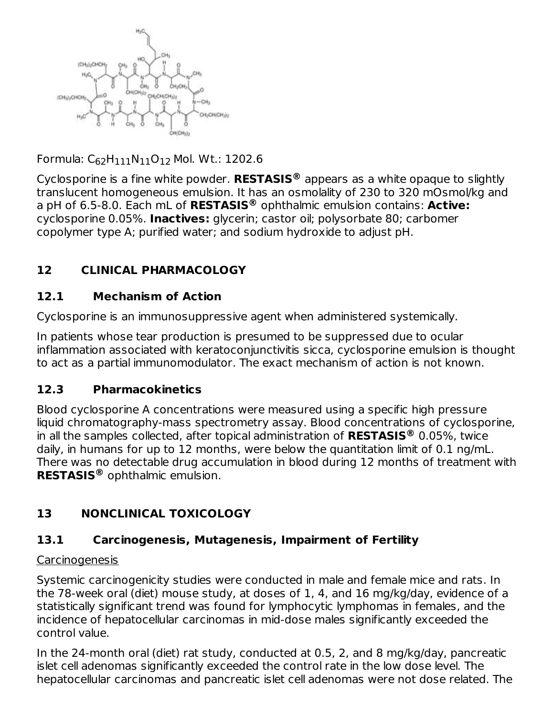

Formula: C<sub>62</sub>H<sub>111</sub>N<sub>11</sub>O<sub>12</sub> Mol. Wt.: 1202.6

Cyclosporine is a fine white powder. **RESTASIS** appears as a white opaque to slightly **®** translucent homogeneous emulsion. It has an osmolality of 230 to 320 mOsmol/kg and a pH of 6.5-8.0. Each mL of **RESTASIS** ophthalmic emulsion contains: **Active: ®** cyclosporine 0.05%. **Inactives:** glycerin; castor oil; polysorbate 80; carbomer copolymer type A; purified water; and sodium hydroxide to adjust pH.

## **12 CLINICAL PHARMACOLOGY**

## **12.1 Mechanism of Action**

Cyclosporine is an immunosuppressive agent when administered systemically.

In patients whose tear production is presumed to be suppressed due to ocular inflammation associated with keratoconjunctivitis sicca, cyclosporine emulsion is thought to act as a partial immunomodulator. The exact mechanism of action is not known.

## **12.3 Pharmacokinetics**

Blood cyclosporine A concentrations were measured using a specific high pressure liquid chromatography-mass spectrometry assay. Blood concentrations of cyclosporine, in all the samples collected, after topical administration of **RESTASIS** 0.05%, twice **®** daily, in humans for up to 12 months, were below the quantitation limit of 0.1 ng/mL. There was no detectable drug accumulation in blood during 12 months of treatment with **RESTASIS** ophthalmic emulsion. **®**

# **13 NONCLINICAL TOXICOLOGY**

## **13.1 Carcinogenesis, Mutagenesis, Impairment of Fertility**

## Carcinogenesis

Systemic carcinogenicity studies were conducted in male and female mice and rats. In the 78-week oral (diet) mouse study, at doses of 1, 4, and 16 mg/kg/day, evidence of a statistically significant trend was found for lymphocytic lymphomas in females, and the incidence of hepatocellular carcinomas in mid-dose males significantly exceeded the control value.

In the 24-month oral (diet) rat study, conducted at 0.5, 2, and 8 mg/kg/day, pancreatic islet cell adenomas significantly exceeded the control rate in the low dose level. The hepatocellular carcinomas and pancreatic islet cell adenomas were not dose related. The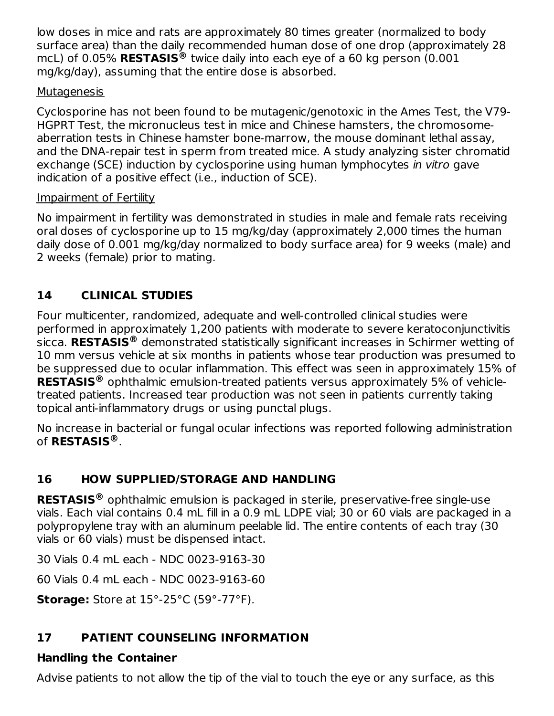low doses in mice and rats are approximately 80 times greater (normalized to body surface area) than the daily recommended human dose of one drop (approximately 28 mcL) of 0.05% **RESTASIS** twice daily into each eye of a 60 kg person (0.001 **®** mg/kg/day), assuming that the entire dose is absorbed.

#### **Mutagenesis**

Cyclosporine has not been found to be mutagenic/genotoxic in the Ames Test, the V79- HGPRT Test, the micronucleus test in mice and Chinese hamsters, the chromosomeaberration tests in Chinese hamster bone-marrow, the mouse dominant lethal assay, and the DNA-repair test in sperm from treated mice. A study analyzing sister chromatid exchange (SCE) induction by cyclosporine using human lymphocytes in vitro gave indication of a positive effect (i.e., induction of SCE).

## Impairment of Fertility

No impairment in fertility was demonstrated in studies in male and female rats receiving oral doses of cyclosporine up to 15 mg/kg/day (approximately 2,000 times the human daily dose of 0.001 mg/kg/day normalized to body surface area) for 9 weeks (male) and 2 weeks (female) prior to mating.

## **14 CLINICAL STUDIES**

Four multicenter, randomized, adequate and well-controlled clinical studies were performed in approximately 1,200 patients with moderate to severe keratoconjunctivitis sicca. **RESTASIS** demonstrated statistically significant increases in Schirmer wetting of **®** 10 mm versus vehicle at six months in patients whose tear production was presumed to be suppressed due to ocular inflammation. This effect was seen in approximately 15% of **RESTASIS** ophthalmic emulsion-treated patients versus approximately 5% of vehicle-**®** treated patients. Increased tear production was not seen in patients currently taking topical anti-inflammatory drugs or using punctal plugs.

No increase in bacterial or fungal ocular infections was reported following administration of **RESTASIS** . **®**

## **16 HOW SUPPLIED/STORAGE AND HANDLING**

**RESTASIS** ophthalmic emulsion is packaged in sterile, preservative-free single-use **®**vials. Each vial contains 0.4 mL fill in a 0.9 mL LDPE vial; 30 or 60 vials are packaged in a polypropylene tray with an aluminum peelable lid. The entire contents of each tray (30 vials or 60 vials) must be dispensed intact.

30 Vials 0.4 mL each - NDC 0023-9163-30

60 Vials 0.4 mL each - NDC 0023-9163-60

**Storage:** Store at 15°-25°C (59°-77°F).

# **17 PATIENT COUNSELING INFORMATION**

## **Handling the Container**

Advise patients to not allow the tip of the vial to touch the eye or any surface, as this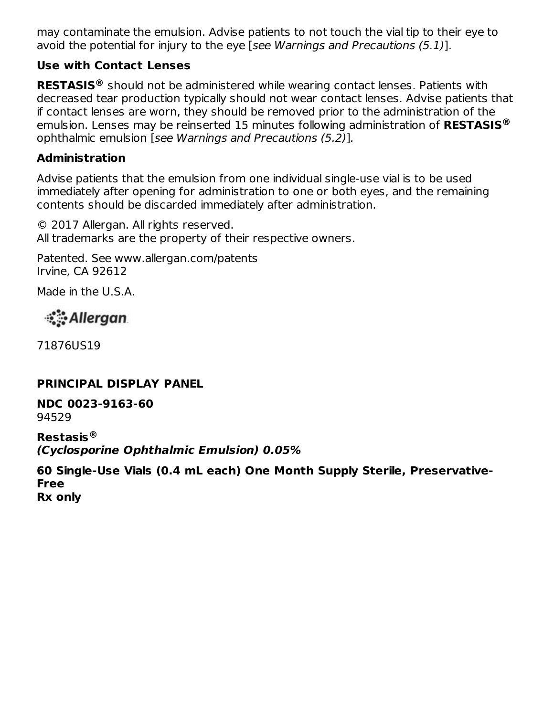may contaminate the emulsion. Advise patients to not touch the vial tip to their eye to avoid the potential for injury to the eye [see Warnings and Precautions (5.1)].

#### **Use with Contact Lenses**

**RESTASIS** should not be administered while wearing contact lenses. Patients with **®** decreased tear production typically should not wear contact lenses. Advise patients that if contact lenses are worn, they should be removed prior to the administration of the emulsion. Lenses may be reinserted 15 minutes following administration of **RESTASIS ®** ophthalmic emulsion [see Warnings and Precautions (5.2)].

#### **Administration**

Advise patients that the emulsion from one individual single-use vial is to be used immediately after opening for administration to one or both eyes, and the remaining contents should be discarded immediately after administration.

© 2017 Allergan. All rights reserved. All trademarks are the property of their respective owners.

Patented. See www.allergan.com/patents Irvine, CA 92612

Made in the U.S.A.

ं Allergan

71876US19

#### **PRINCIPAL DISPLAY PANEL**

**NDC 0023-9163-60** 94529

**Restasis ®(Cyclosporine Ophthalmic Emulsion) 0.05%**

**60 Single-Use Vials (0.4 mL each) One Month Supply Sterile, Preservative-Free Rx only**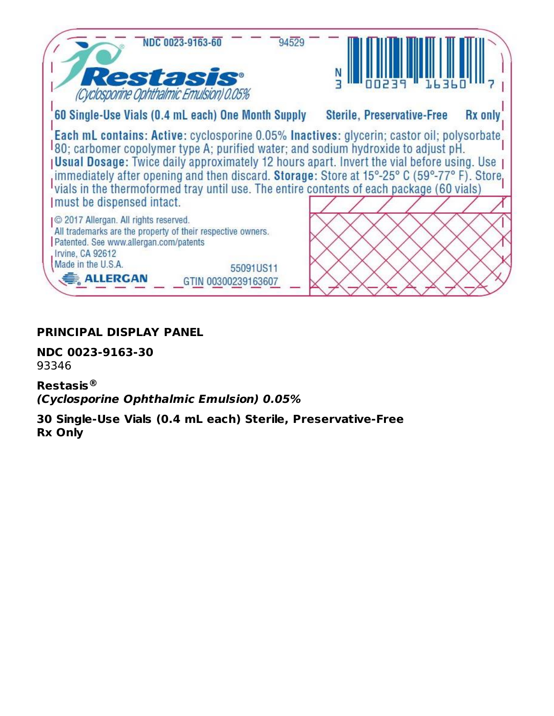

#### **PRINCIPAL DISPLAY PANEL**

**NDC 0023-9163-30** 93346

**Restasis ®(Cyclosporine Ophthalmic Emulsion) 0.05%**

**30 Single-Use Vials (0.4 mL each) Sterile, Preservative-Free Rx Only**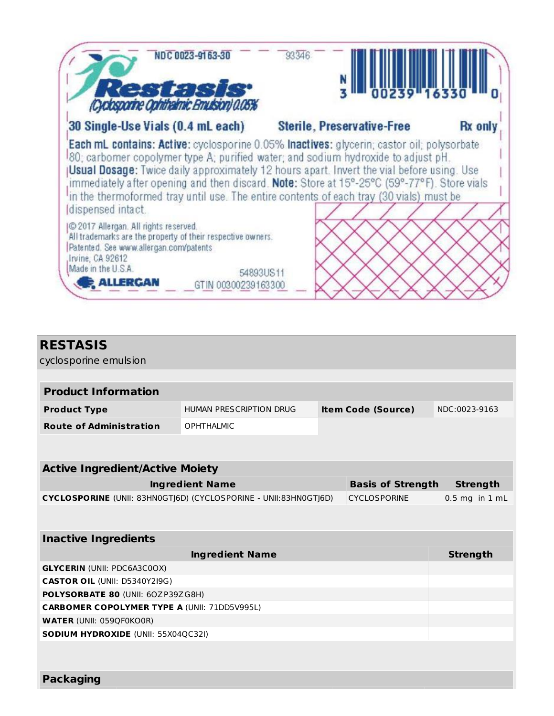| Cyclogarne ophthamic Emisson acos                                                                                                                                                                                  | 00239 1633                        |                |
|--------------------------------------------------------------------------------------------------------------------------------------------------------------------------------------------------------------------|-----------------------------------|----------------|
| 30 Single-Use Vials (0.4 mL each)                                                                                                                                                                                  | <b>Sterile, Preservative-Free</b> | <b>Rx</b> only |
| immediately after opening and then discard. <b>Note:</b> Store at 15°-25°C (59°-77°F). Store vials<br>in the thermoformed tray until use. The entire contents of each tray (30 vials) must be<br>dispensed intact. |                                   |                |
| © 2017 Allergan. All rights reserved.                                                                                                                                                                              |                                   |                |

| <b>RESTASIS</b><br>cyclosporine emulsion                                                |                         |  |                           |                    |  |  |
|-----------------------------------------------------------------------------------------|-------------------------|--|---------------------------|--------------------|--|--|
|                                                                                         |                         |  |                           |                    |  |  |
| <b>Product Information</b>                                                              |                         |  |                           |                    |  |  |
| <b>Product Type</b>                                                                     | HUMAN PRESCRIPTION DRUG |  | <b>Item Code (Source)</b> | NDC:0023-9163      |  |  |
| <b>Route of Administration</b>                                                          | <b>OPHTHALMIC</b>       |  |                           |                    |  |  |
|                                                                                         |                         |  |                           |                    |  |  |
|                                                                                         |                         |  |                           |                    |  |  |
| <b>Active Ingredient/Active Moiety</b>                                                  |                         |  |                           |                    |  |  |
|                                                                                         | <b>Ingredient Name</b>  |  | <b>Basis of Strength</b>  | <b>Strength</b>    |  |  |
| CYCLOSPORINE (UNII: 83HN0GTJ6D) (CYCLOSPORINE - UNII:83HN0GTJ6D)<br><b>CYCLOSPORINE</b> |                         |  |                           | $0.5$ mg in $1$ mL |  |  |
|                                                                                         |                         |  |                           |                    |  |  |
| <b>Inactive Ingredients</b>                                                             |                         |  |                           |                    |  |  |
|                                                                                         | <b>Ingredient Name</b>  |  |                           | <b>Strength</b>    |  |  |
| <b>GLYCERIN (UNII: PDC6A3C0OX)</b>                                                      |                         |  |                           |                    |  |  |
| <b>CASTOR OIL (UNII: D5340Y2I9G)</b>                                                    |                         |  |                           |                    |  |  |
| POLYSORBATE 80 (UNII: 60ZP39ZG8H)                                                       |                         |  |                           |                    |  |  |
| <b>CARBOMER COPOLYMER TYPE A (UNII: 71DD5V995L)</b>                                     |                         |  |                           |                    |  |  |
| <b>WATER (UNII: 059QF0KO0R)</b>                                                         |                         |  |                           |                    |  |  |
| <b>SODIUM HYDROXIDE (UNII: 55X04QC32I)</b>                                              |                         |  |                           |                    |  |  |
|                                                                                         |                         |  |                           |                    |  |  |
|                                                                                         |                         |  |                           |                    |  |  |
| <b>Packaging</b>                                                                        |                         |  |                           |                    |  |  |
|                                                                                         |                         |  |                           |                    |  |  |